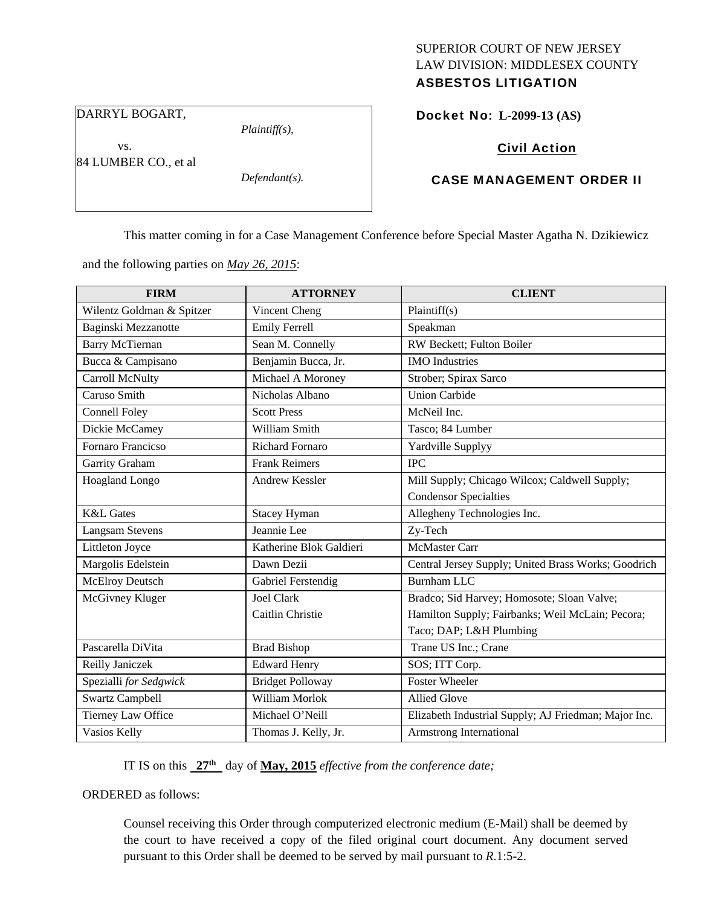# SUPERIOR COURT OF NEW JERSEY LAW DIVISION: MIDDLESEX COUNTY

## ASBESTOS LITIGATION

DARRYL BOGART,

vs.

*Plaintiff(s),* 

Docket No: **L-2099-13 (AS)** 

Civil Action

84 LUMBER CO., et al

*Defendant(s).* 

## CASE MANAGEMENT ORDER II

This matter coming in for a Case Management Conference before Special Master Agatha N. Dzikiewicz

and the following parties on *May 26, 2015*:

| <b>FIRM</b>               | <b>ATTORNEY</b>         | <b>CLIENT</b>                                        |
|---------------------------|-------------------------|------------------------------------------------------|
| Wilentz Goldman & Spitzer | Vincent Cheng           | Plaintiff(s)                                         |
| Baginski Mezzanotte       | <b>Emily Ferrell</b>    | Speakman                                             |
| <b>Barry McTiernan</b>    | Sean M. Connelly        | RW Beckett; Fulton Boiler                            |
| Bucca & Campisano         | Benjamin Bucca, Jr.     | <b>IMO</b> Industries                                |
| Carroll McNulty           | Michael A Moroney       | Strober; Spirax Sarco                                |
| Caruso Smith              | Nicholas Albano         | <b>Union Carbide</b>                                 |
| <b>Connell Foley</b>      | <b>Scott Press</b>      | McNeil Inc.                                          |
| Dickie McCamey            | William Smith           | Tasco; 84 Lumber                                     |
| Fornaro Francicso         | <b>Richard Fornaro</b>  | Yardville Supplyy                                    |
| Garrity Graham            | <b>Frank Reimers</b>    | <b>IPC</b>                                           |
| Hoagland Longo            | <b>Andrew Kessler</b>   | Mill Supply; Chicago Wilcox; Caldwell Supply;        |
|                           |                         | <b>Condensor Specialties</b>                         |
| <b>K&amp;L</b> Gates      | <b>Stacey Hyman</b>     | Allegheny Technologies Inc.                          |
| <b>Langsam Stevens</b>    | Jeannie Lee             | Zy-Tech                                              |
| Littleton Joyce           | Katherine Blok Galdieri | <b>McMaster Carr</b>                                 |
| Margolis Edelstein        | Dawn Dezii              | Central Jersey Supply; United Brass Works; Goodrich  |
| McElroy Deutsch           | Gabriel Ferstendig      | <b>Burnham LLC</b>                                   |
| McGivney Kluger           | <b>Joel Clark</b>       | Bradco; Sid Harvey; Homosote; Sloan Valve;           |
|                           | Caitlin Christie        | Hamilton Supply; Fairbanks; Weil McLain; Pecora;     |
|                           |                         | Taco; DAP; L&H Plumbing                              |
| Pascarella DiVita         | <b>Brad Bishop</b>      | Trane US Inc.; Crane                                 |
| Reilly Janiczek           | <b>Edward Henry</b>     | SOS; ITT Corp.                                       |
| Spezialli for Sedgwick    | <b>Bridget Polloway</b> | <b>Foster Wheeler</b>                                |
| <b>Swartz Campbell</b>    | William Morlok          | <b>Allied Glove</b>                                  |
| Tierney Law Office        | Michael O'Neill         | Elizabeth Industrial Supply; AJ Friedman; Major Inc. |
| Vasios Kelly              | Thomas J. Kelly, Jr.    | Armstrong International                              |

IT IS on this  $27<sup>th</sup>$  day of May, 2015 *effective from the conference date*;

ORDERED as follows:

Counsel receiving this Order through computerized electronic medium (E-Mail) shall be deemed by the court to have received a copy of the filed original court document. Any document served pursuant to this Order shall be deemed to be served by mail pursuant to *R*.1:5-2.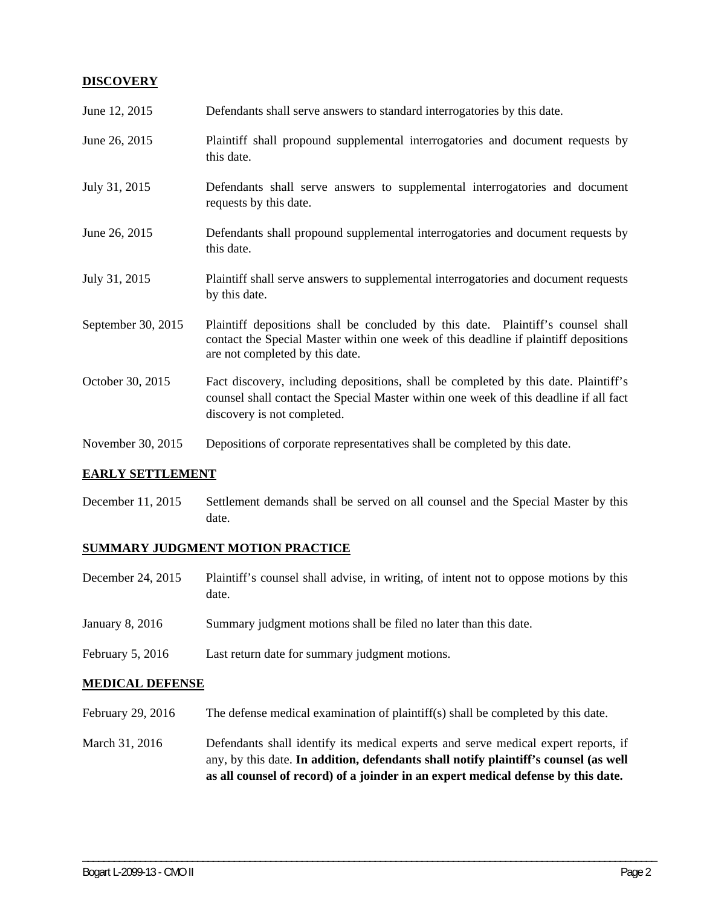## **DISCOVERY**

| June 12, 2015      | Defendants shall serve answers to standard interrogatories by this date.                                                                                                                                    |
|--------------------|-------------------------------------------------------------------------------------------------------------------------------------------------------------------------------------------------------------|
| June 26, 2015      | Plaintiff shall propound supplemental interrogatories and document requests by<br>this date.                                                                                                                |
| July 31, 2015      | Defendants shall serve answers to supplemental interrogatories and document<br>requests by this date.                                                                                                       |
| June 26, 2015      | Defendants shall propound supplemental interrogatories and document requests by<br>this date.                                                                                                               |
| July 31, 2015      | Plaintiff shall serve answers to supplemental interrogatories and document requests<br>by this date.                                                                                                        |
| September 30, 2015 | Plaintiff depositions shall be concluded by this date. Plaintiff's counsel shall<br>contact the Special Master within one week of this deadline if plaintiff depositions<br>are not completed by this date. |
| October 30, 2015   | Fact discovery, including depositions, shall be completed by this date. Plaintiff's<br>counsel shall contact the Special Master within one week of this deadline if all fact<br>discovery is not completed. |
| November 30, 2015  | Depositions of corporate representatives shall be completed by this date.                                                                                                                                   |

#### **EARLY SETTLEMENT**

December 11, 2015 Settlement demands shall be served on all counsel and the Special Master by this date.

## **SUMMARY JUDGMENT MOTION PRACTICE**

- December 24, 2015 Plaintiff's counsel shall advise, in writing, of intent not to oppose motions by this date.
- January 8, 2016 Summary judgment motions shall be filed no later than this date.
- February 5, 2016 Last return date for summary judgment motions.

#### **MEDICAL DEFENSE**

- February 29, 2016 The defense medical examination of plaintiff(s) shall be completed by this date.
- March 31, 2016 Defendants shall identify its medical experts and serve medical expert reports, if any, by this date. **In addition, defendants shall notify plaintiff's counsel (as well as all counsel of record) of a joinder in an expert medical defense by this date.**

\_\_\_\_\_\_\_\_\_\_\_\_\_\_\_\_\_\_\_\_\_\_\_\_\_\_\_\_\_\_\_\_\_\_\_\_\_\_\_\_\_\_\_\_\_\_\_\_\_\_\_\_\_\_\_\_\_\_\_\_\_\_\_\_\_\_\_\_\_\_\_\_\_\_\_\_\_\_\_\_\_\_\_\_\_\_\_\_\_\_\_\_\_\_\_\_\_\_\_\_\_\_\_\_\_\_\_\_\_\_